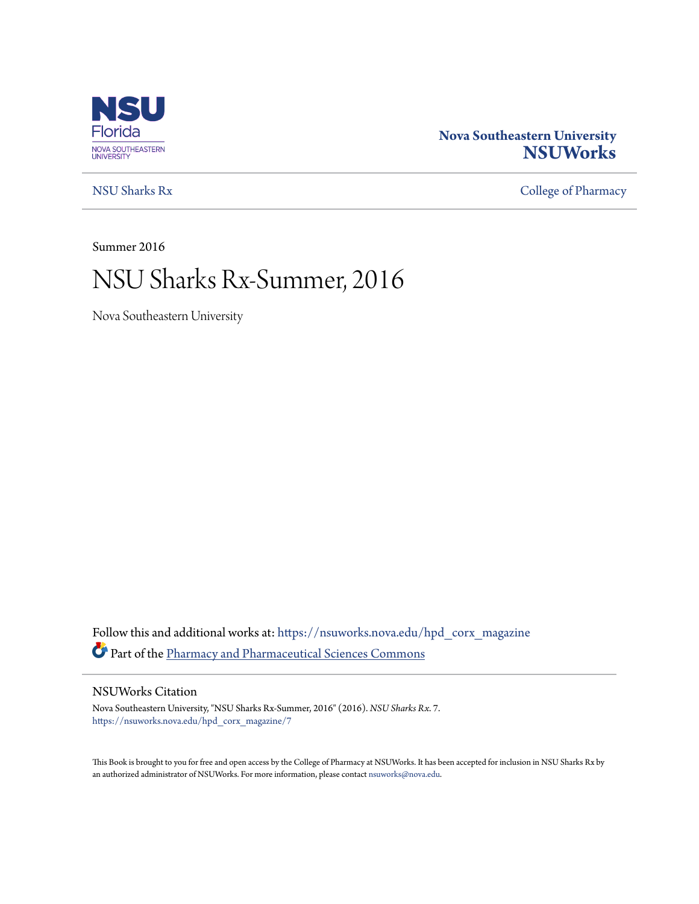

### **Nova Southeastern University [NSUWorks](https://nsuworks.nova.edu?utm_source=nsuworks.nova.edu%2Fhpd_corx_magazine%2F7&utm_medium=PDF&utm_campaign=PDFCoverPages)**

[NSU Sharks Rx](https://nsuworks.nova.edu/hpd_corx_magazine?utm_source=nsuworks.nova.edu%2Fhpd_corx_magazine%2F7&utm_medium=PDF&utm_campaign=PDFCoverPages) [College of Pharmacy](https://nsuworks.nova.edu/hpd_corx?utm_source=nsuworks.nova.edu%2Fhpd_corx_magazine%2F7&utm_medium=PDF&utm_campaign=PDFCoverPages)

Summer 2016

# NSU Sharks Rx-Summer, 2016

Nova Southeastern University

Follow this and additional works at: [https://nsuworks.nova.edu/hpd\\_corx\\_magazine](https://nsuworks.nova.edu/hpd_corx_magazine?utm_source=nsuworks.nova.edu%2Fhpd_corx_magazine%2F7&utm_medium=PDF&utm_campaign=PDFCoverPages) Part of the [Pharmacy and Pharmaceutical Sciences Commons](http://network.bepress.com/hgg/discipline/731?utm_source=nsuworks.nova.edu%2Fhpd_corx_magazine%2F7&utm_medium=PDF&utm_campaign=PDFCoverPages)

#### NSUWorks Citation

Nova Southeastern University, "NSU Sharks Rx-Summer, 2016" (2016). *NSU Sharks Rx*. 7. [https://nsuworks.nova.edu/hpd\\_corx\\_magazine/7](https://nsuworks.nova.edu/hpd_corx_magazine/7?utm_source=nsuworks.nova.edu%2Fhpd_corx_magazine%2F7&utm_medium=PDF&utm_campaign=PDFCoverPages)

This Book is brought to you for free and open access by the College of Pharmacy at NSUWorks. It has been accepted for inclusion in NSU Sharks Rx by an authorized administrator of NSUWorks. For more information, please contact [nsuworks@nova.edu.](mailto:nsuworks@nova.edu)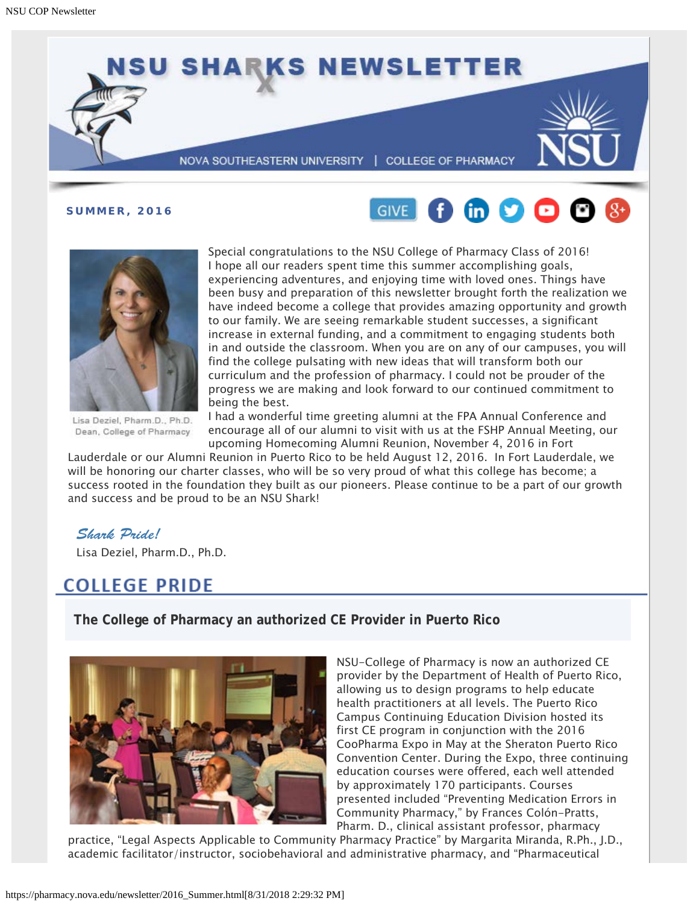





Lisa Deziel, Pharm.D., Ph.D. Dean, College of Pharmacy

Special congratulations to the NSU College of Pharmacy Class of 2016! I hope all our readers spent time this summer accomplishing goals, experiencing adventures, and enjoying time with loved ones. Things have been busy and preparation of this newsletter brought forth the realization we have indeed become a college that provides amazing opportunity and growth to our family. We are seeing remarkable student successes, a significant increase in external funding, and a commitment to engaging students both in and outside the classroom. When you are on any of our campuses, you will find the college pulsating with new ideas that will transform both our curriculum and the profession of pharmacy. I could not be prouder of the progress we are making and look forward to our continued commitment to being the best.

I had a wonderful time greeting alumni at the FPA Annual Conference and encourage all of our alumni to visit with us at the FSHP Annual Meeting, our upcoming Homecoming Alumni Reunion, November 4, 2016 in Fort

Lauderdale or our Alumni Reunion in Puerto Rico to be held August 12, 2016. In Fort Lauderdale, we will be honoring our charter classes, who will be so very proud of what this college has become; a success rooted in the foundation they built as our pioneers. Please continue to be a part of our growth and success and be proud to be an NSU Shark!

#### *Shark Pride!*

Lisa Deziel, Pharm.D., Ph.D.

### **COLLEGE PRIDE**

**The College of Pharmacy an authorized CE Provider in Puerto Rico**



NSU-College of Pharmacy is now an authorized CE provider by the Department of Health of Puerto Rico, allowing us to design programs to help educate health practitioners at all levels. The Puerto Rico Campus Continuing Education Division hosted its first CE program in conjunction with the 2016 CooPharma Expo in May at the Sheraton Puerto Rico Convention Center. During the Expo, three continuing education courses were offered, each well attended by approximately 170 participants. Courses presented included "Preventing Medication Errors in Community Pharmacy," by Frances Colón-Pratts, Pharm. D., clinical assistant professor, pharmacy

practice, "Legal Aspects Applicable to Community Pharmacy Practice" by Margarita Miranda, R.Ph., J.D., academic facilitator/instructor, sociobehavioral and administrative pharmacy, and "Pharmaceutical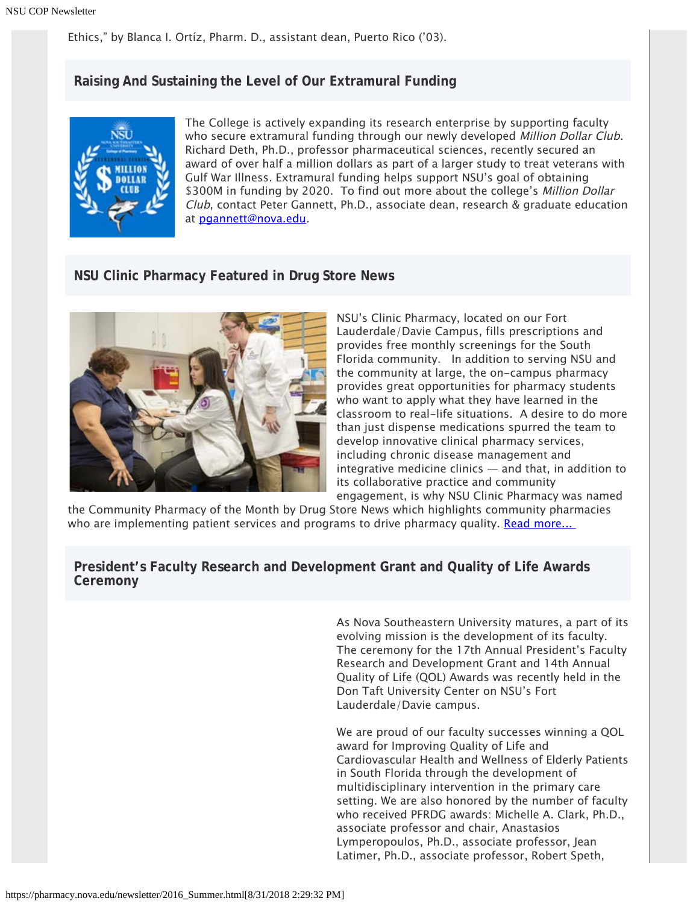Ethics," by Blanca I. Ortíz, Pharm. D., assistant dean, Puerto Rico ('03).

#### **Raising And Sustaining the Level of Our Extramural Funding**



The College is actively expanding its research enterprise by supporting faculty who secure extramural funding through our newly developed Million Dollar Club. Richard Deth, Ph.D., professor pharmaceutical sciences, recently secured an award of over half a million dollars as part of a larger study to treat veterans with Gulf War Illness. Extramural funding helps support NSU's goal of obtaining \$300M in funding by 2020. To find out more about the college's Million Dollar Club, contact Peter Gannett, Ph.D., associate dean, research & graduate education at [pgannett@nova.edu](mailto:pgannett@nova.edu).

#### **NSU Clinic Pharmacy Featured in Drug Store News**



NSU's Clinic Pharmacy, located on our Fort Lauderdale/Davie Campus, fills prescriptions and provides free monthly screenings for the South Florida community. In addition to serving NSU and the community at large, the on-campus pharmacy provides great opportunities for pharmacy students who want to apply what they have learned in the classroom to real-life situations. A desire to do more than just dispense medications spurred the team to develop innovative clinical pharmacy services, including chronic disease management and integrative medicine clinics — and that, in addition to its collaborative practice and community engagement, is why NSU Clinic Pharmacy was named

the Community Pharmacy of the Month by Drug Store News which highlights community pharmacies who are implementing patient services and programs to drive pharmacy quality. Read more...

#### **President's Faculty Research and Development Grant and Quality of Life Awards Ceremony**

As Nova Southeastern University matures, a part of its evolving mission is the development of its faculty. The ceremony for the 17th Annual President's Faculty Research and Development Grant and 14th Annual Quality of Life (QOL) Awards was recently held in the Don Taft University Center on NSU's Fort Lauderdale/Davie campus.

We are proud of our faculty successes winning a QOL award for Improving Quality of Life and Cardiovascular Health and Wellness of Elderly Patients in South Florida through the development of multidisciplinary intervention in the primary care setting. We are also honored by the number of faculty who received PFRDG awards: Michelle A. Clark, Ph.D., associate professor and chair, Anastasios Lymperopoulos, Ph.D., associate professor, Jean Latimer, Ph.D., associate professor, Robert Speth,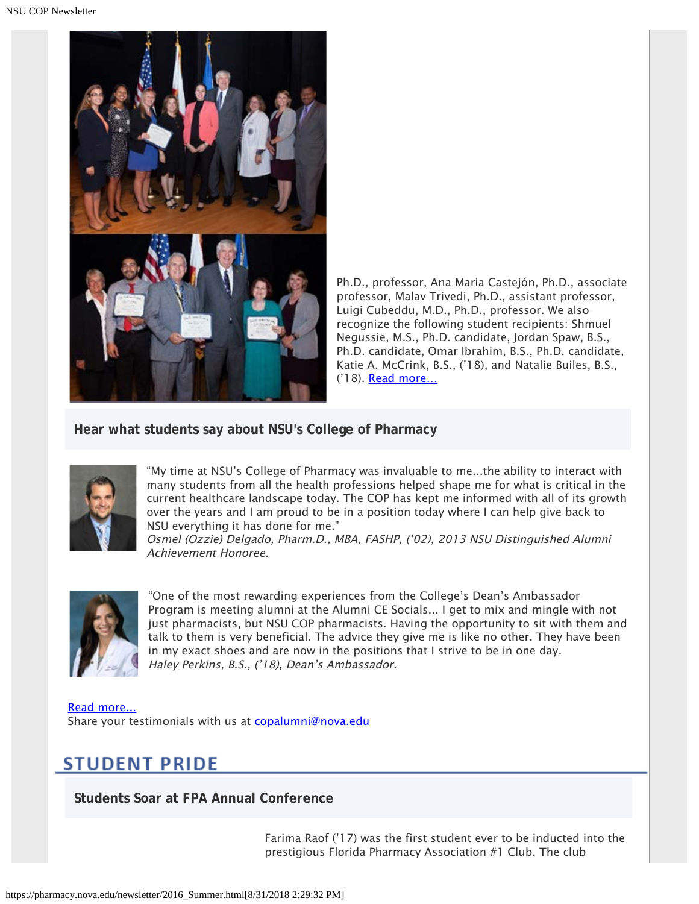

Ph.D., professor, Ana Maria Castejón, Ph.D., associate professor, Malav Trivedi, Ph.D., assistant professor, Luigi Cubeddu, M.D., Ph.D., professor. We also recognize the following student recipients: Shmuel Negussie, M.S., Ph.D. candidate, Jordan Spaw, B.S., Ph.D. candidate, Omar Ibrahim, B.S., Ph.D. candidate, Katie A. McCrink, B.S., ('18), and Natalie Builes, B.S., ('18). [Read more…](https://nsunews.nova.edu/nsu-hosts-presidents-faculty-research-and-development-grant-pfrdg-and-quality-of-life-awards-ceremony-3)

**Hear what students say about NSU's College of Pharmacy**



"My time at NSU's College of Pharmacy was invaluable to me...the ability to interact with many students from all the health professions helped shape me for what is critical in the current healthcare landscape today. The COP has kept me informed with all of its growth over the years and I am proud to be in a position today where I can help give back to NSU everything it has done for me."

Osmel (Ozzie) Delgado, Pharm.D., MBA, FASHP, ('02), 2013 NSU Distinguished Alumni Achievement Honoree.



"One of the most rewarding experiences from the College's Dean's Ambassador Program is meeting alumni at the Alumni CE Socials... I get to mix and mingle with not just pharmacists, but NSU COP pharmacists. Having the opportunity to sit with them and talk to them is very beneficial. The advice they give me is like no other. They have been in my exact shoes and are now in the positions that I strive to be in one day. Haley Perkins, B.S., ('18), Dean's Ambassador.

[Read more...](http://pharmacy.nova.edu/testimonials/) Share your testimonials with us at [copalumni@nova.edu](mailto:copalumni@nova.edu)

## **STUDENT PRIDE**

**Students Soar at FPA Annual Conference**

Farima Raof ('17) was the first student ever to be inducted into the prestigious Florida Pharmacy Association #1 Club. The club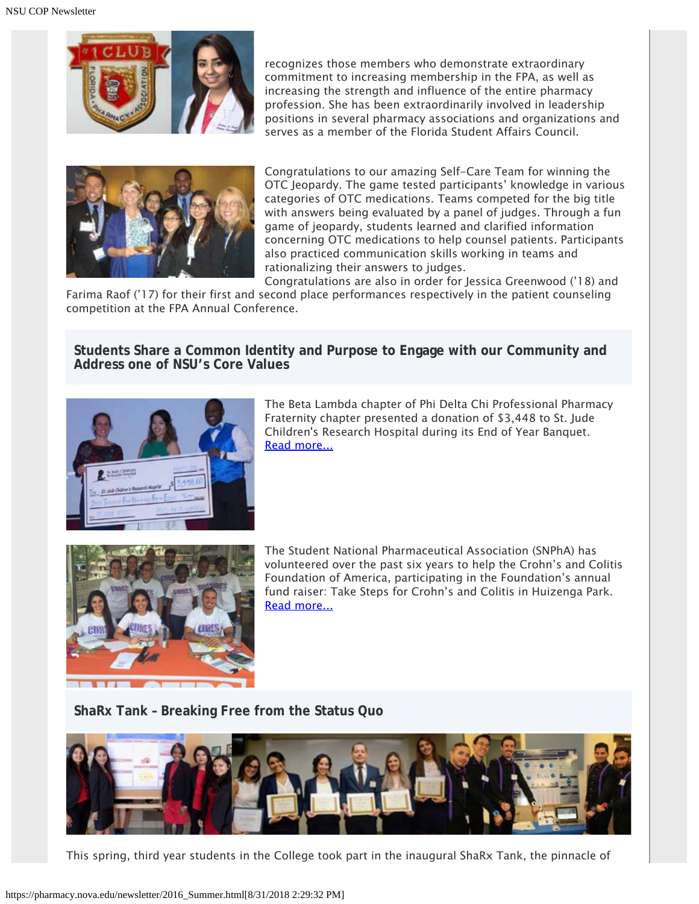

recognizes those members who demonstrate extraordinary commitment to increasing membership in the FPA, as well as increasing the strength and influence of the entire pharmacy profession. She has been extraordinarily involved in leadership positions in several pharmacy associations and organizations and serves as a member of the Florida Student Affairs Council.



Congratulations to our amazing Self-Care Team for winning the OTC Jeopardy. The game tested participants' knowledge in various categories of OTC medications. Teams competed for the big title with answers being evaluated by a panel of judges. Through a fun game of jeopardy, students learned and clarified information concerning OTC medications to help counsel patients. Participants also practiced communication skills working in teams and rationalizing their answers to judges.

Congratulations are also in order for Jessica Greenwood ('18) and Farima Raof ('17) for their first and second place performances respectively in the patient counseling competition at the FPA Annual Conference.

**Students Share a Common Identity and Purpose to Engage with our Community and Address one of NSU's Core Values**



The Beta Lambda chapter of Phi Delta Chi Professional Pharmacy Fraternity chapter presented a donation of \$3,448 to St. Jude Children's Research Hospital during its End of Year Banquet. [Read more...](https://nsunews.nova.edu/phi-delta-chi-makes-annual-donation-to-st-jude-childrens-research-hospital/)



The Student National Pharmaceutical Association (SNPhA) has volunteered over the past six years to help the Crohn's and Colitis Foundation of America, participating in the Foundation's annual fund raiser: Take Steps for Crohn's and Colitis in Huizenga Park. [Read more...](http://www.ccfa.org/)

**ShaRx Tank – Breaking Free from the Status Quo**



This spring, third year students in the College took part in the inaugural ShaRx Tank, the pinnacle of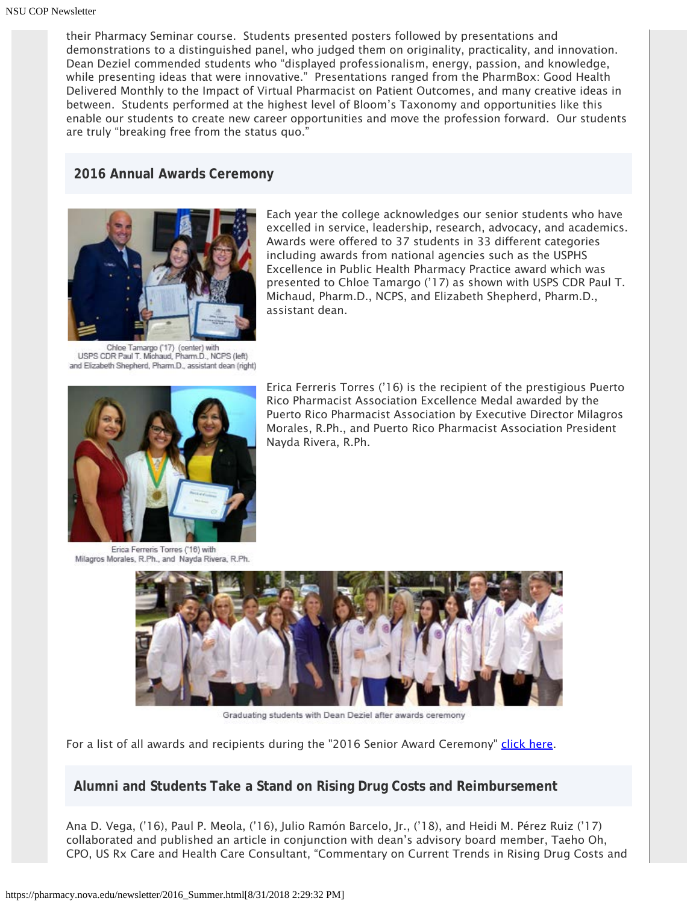their Pharmacy Seminar course. Students presented posters followed by presentations and demonstrations to a distinguished panel, who judged them on originality, practicality, and innovation. Dean Deziel commended students who "displayed professionalism, energy, passion, and knowledge, while presenting ideas that were innovative." Presentations ranged from the PharmBox: Good Health Delivered Monthly to the Impact of Virtual Pharmacist on Patient Outcomes, and many creative ideas in between. Students performed at the highest level of Bloom's Taxonomy and opportunities like this enable our students to create new career opportunities and move the profession forward. Our students are truly "breaking free from the status quo."

#### **2016 Annual Awards Ceremony**



Chloe Tamargo (17) (center) with<br>USPS CDR Paul T. Michaud, Pharm.D., NCPS (left) and Elizabeth Shepherd, Pharm.D., assistant dean (right)

Each year the college acknowledges our senior students who have excelled in service, leadership, research, advocacy, and academics. Awards were offered to 37 students in 33 different categories including awards from national agencies such as the USPHS Excellence in Public Health Pharmacy Practice award which was presented to Chloe Tamargo ('17) as shown with USPS CDR Paul T. Michaud, Pharm.D., NCPS, and Elizabeth Shepherd, Pharm.D., assistant dean.



Erica Ferreris Torres ('16) is the recipient of the prestigious Puerto Rico Pharmacist Association Excellence Medal awarded by the Puerto Rico Pharmacist Association by Executive Director Milagros Morales, R.Ph., and Puerto Rico Pharmacist Association President Nayda Rivera, R.Ph.

Erica Ferreris Torres ('16) with Milagros Morales, R.Ph., and Nayda Rivera, R.Ph.



Graduating students with Dean Deziel after awards ceremony

For a list of all awards and recipients during the "2016 Senior Award Ceremony" *click here.* 

#### **Alumni and Students Take a Stand on Rising Drug Costs and Reimbursement**

Ana D. Vega, ('16), Paul P. Meola, ('16), Julio Ramón Barcelo, Jr., ('18), and Heidi M. Pérez Ruiz ('17) collaborated and published an article in conjunction with dean's advisory board member, Taeho Oh, CPO, US Rx Care and Health Care Consultant, "Commentary on Current Trends in Rising Drug Costs and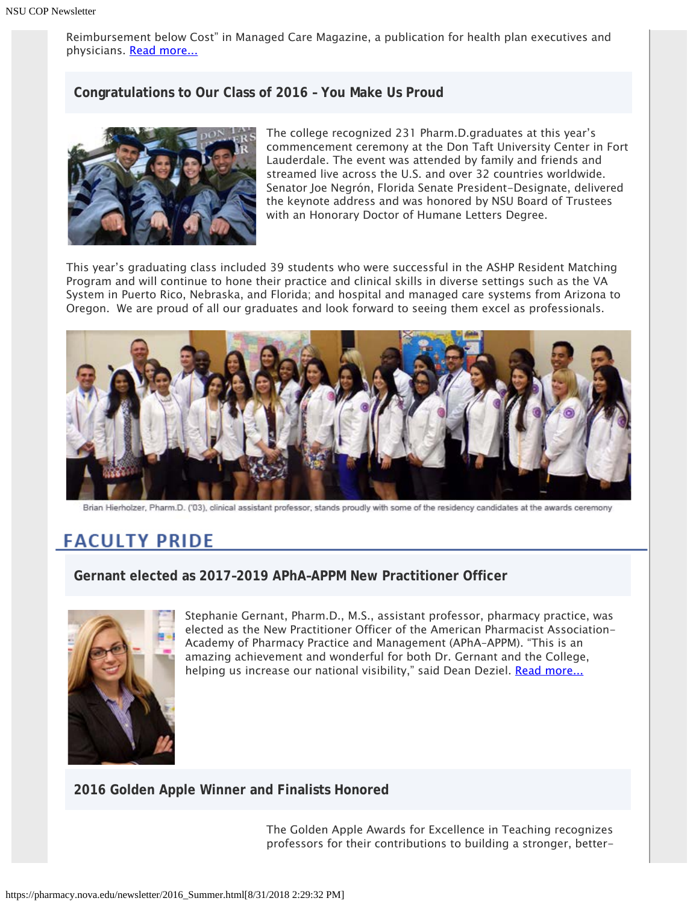Reimbursement below Cost" in Managed Care Magazine, a publication for health plan executives and physicians. [Read more...](https://nsunews.nova.edu/research-by-nsu-pharmacy-students-published-in-managed-care-magazine/)

#### **Congratulations to Our Class of 2016 – You Make Us Proud**



The college recognized 231 Pharm.D.graduates at this year's commencement ceremony at the Don Taft University Center in Fort Lauderdale. The event was attended by family and friends and streamed live across the U.S. and over 32 countries worldwide. Senator Joe Negrón, Florida Senate President-Designate, delivered the keynote address and was honored by NSU Board of Trustees with an Honorary Doctor of Humane Letters Degree.

This year's graduating class included 39 students who were successful in the ASHP Resident Matching Program and will continue to hone their practice and clinical skills in diverse settings such as the VA System in Puerto Rico, Nebraska, and Florida; and hospital and managed care systems from Arizona to Oregon. We are proud of all our graduates and look forward to seeing them excel as professionals.



Brian Hierholzer, Pharm.D. ('03), clinical assistant professor, stands proudly with some of the residency candidates at the awards ceremony

## **FACULTY PRIDE**

#### **Gernant elected as 2017–2019 APhA–APPM New Practitioner Officer**



Stephanie Gernant, Pharm.D., M.S., assistant professor, pharmacy practice, was elected as the New Practitioner Officer of the American Pharmacist Association-Academy of Pharmacy Practice and Management (APhA–APPM). "This is an amazing achievement and wonderful for both Dr. Gernant and the College, helping us increase our national visibility," said Dean Deziel. [Read more...](https://nsunews.nova.edu/nsu-pharmacy-faculty-member-elected-to-national-board/)

**2016 Golden Apple Winner and Finalists Honored**

The Golden Apple Awards for Excellence in Teaching recognizes professors for their contributions to building a stronger, better-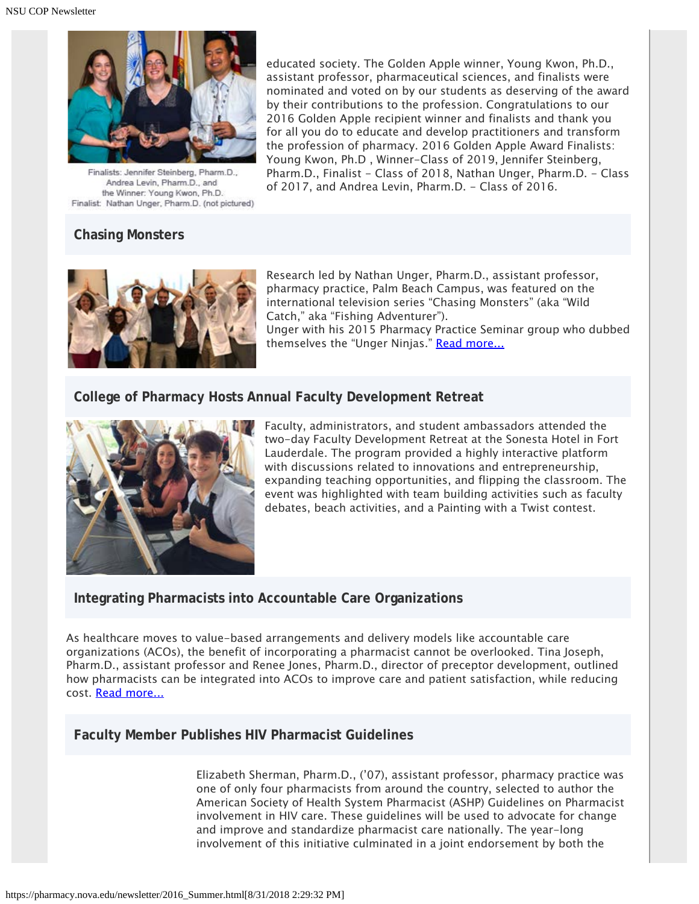

Finalists: Jennifer Steinberg, Pharm.D., Andrea Levin, Pharm.D., and the Winner: Young Kwon, Ph.D. Finalist: Nathan Unger, Pharm.D. (not pictured)

**Chasing Monsters**

educated society. The Golden Apple winner, Young Kwon, Ph.D., assistant professor, pharmaceutical sciences, and finalists were nominated and voted on by our students as deserving of the award by their contributions to the profession. Congratulations to our 2016 Golden Apple recipient winner and finalists and thank you for all you do to educate and develop practitioners and transform the profession of pharmacy. 2016 Golden Apple Award Finalists: Young Kwon, Ph.D , Winner-Class of 2019, Jennifer Steinberg, Pharm.D., Finalist - Class of 2018, Nathan Unger, Pharm.D. - Class of 2017, and Andrea Levin, Pharm.D. - Class of 2016.

Research led by Nathan Unger, Pharm.D., assistant professor, pharmacy practice, Palm Beach Campus, was featured on the international television series "Chasing Monsters" (aka "Wild Catch," aka "Fishing Adventurer"). Unger with his 2015 Pharmacy Practice Seminar group who dubbed themselves the "Unger Ninjas." [Read more...](https://nsunews.nova.edu/nsu-shark-research-to-be-featured-on-international-fishing-show)

#### **College of Pharmacy Hosts Annual Faculty Development Retreat**



Faculty, administrators, and student ambassadors attended the two-day Faculty Development Retreat at the Sonesta Hotel in Fort Lauderdale. The program provided a highly interactive platform with discussions related to innovations and entrepreneurship, expanding teaching opportunities, and flipping the classroom. The event was highlighted with team building activities such as faculty debates, beach activities, and a Painting with a Twist contest.

#### **Integrating Pharmacists into Accountable Care Organizations**

As healthcare moves to value-based arrangements and delivery models like accountable care organizations (ACOs), the benefit of incorporating a pharmacist cannot be overlooked. Tina Joseph, Pharm.D., assistant professor and Renee Jones, Pharm.D., director of preceptor development, outlined how pharmacists can be integrated into ACOs to improve care and patient satisfaction, while reducing cost. [Read more...](http://www.ajmc.com/conferences/amcp2016/integrating-pharmacists-into-acos#sthash.rd7CRWIZ.dpuf)

#### **Faculty Member Publishes HIV Pharmacist Guidelines**

Elizabeth Sherman, Pharm.D., ('07), assistant professor, pharmacy practice was one of only four pharmacists from around the country, selected to author the American Society of Health System Pharmacist (ASHP) Guidelines on Pharmacist involvement in HIV care. These guidelines will be used to advocate for change and improve and standardize pharmacist care nationally. The year-long involvement of this initiative culminated in a joint endorsement by both the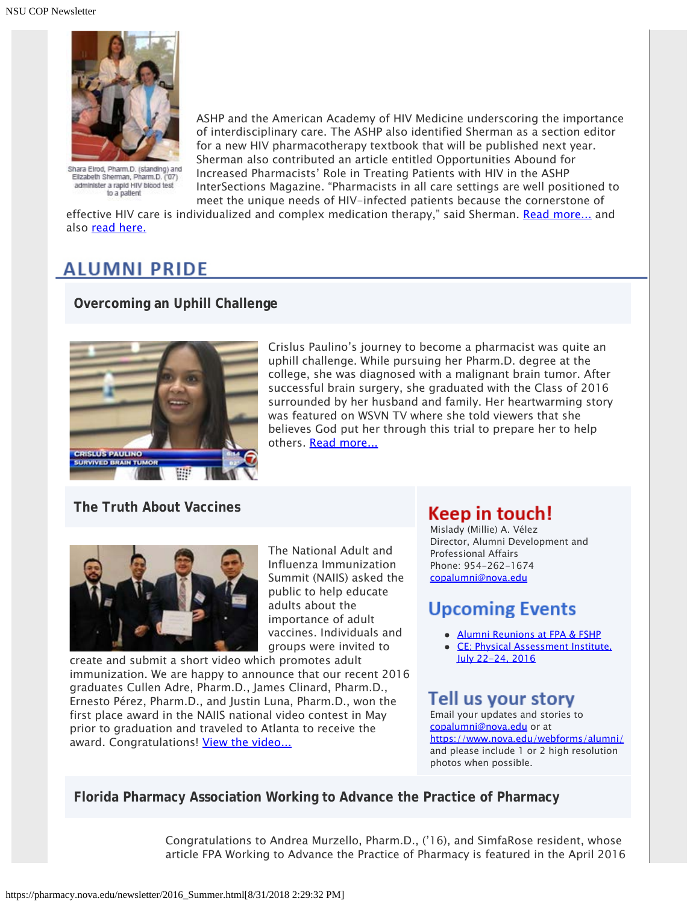

Shara Elrod, Pharm.D. (standing) and Elizabeth Sherman, Pharm.D. ('07) administer a rapid HIV blood test to a patient

ASHP and the American Academy of HIV Medicine underscoring the importance of interdisciplinary care. The ASHP also identified Sherman as a section editor for a new HIV pharmacotherapy textbook that will be published next year. Sherman also contributed an article entitled Opportunities Abound for Increased Pharmacists' Role in Treating Patients with HIV in the ASHP InterSections Magazine. "Pharmacists in all care settings are well positioned to meet the unique needs of HIV-infected patients because the cornerstone of

effective HIV care is individualized and complex medication therapy," said Sherman. [Read more...](http://www.ajhp.org/content/early/2016/02/11/ajhp150623?papeto) and also [read here.](http://www.ashpintersections.org/2016/05/opportunities-abound-for-increased-pharmacists-role-in-treating-patients-with-hiv/)

### **ALUMNI PRIDE**

#### **Overcoming an Uphill Challenge**



Crislus Paulino's journey to become a pharmacist was quite an uphill challenge. While pursuing her Pharm.D. degree at the college, she was diagnosed with a malignant brain tumor. After successful brain surgery, she graduated with the Class of 2016 surrounded by her husband and family. Her heartwarming story was featured on WSVN TV where she told viewers that she believes God put her through this trial to prepare her to help others. [Read more...](https://nsunews.nova.edu/nsu-student-overcomes-tumor-diagnosis-earns-pharmacy-degree/)

**The Truth About Vaccines**



The National Adult and Influenza Immunization Summit (NAIIS) asked the public to help educate adults about the importance of adult vaccines. Individuals and groups were invited to

create and submit a short video which promotes adult immunization. We are happy to announce that our recent 2016 graduates Cullen Adre, Pharm.D., James Clinard, Pharm.D., Ernesto Pérez, Pharm.D., and Justin Luna, Pharm.D., won the first place award in the NAIIS national video contest in May prior to graduation and traveled to Atlanta to receive the award. Congratulations! [View the video...](https://www.youtube.com/watch?v=0HPzYVSIMHc)

### Keep in touch!

Mislady (Millie) A. Vélez Director, Alumni Development and Professional Affairs Phone: 954-262-1674 [copalumni@nova.edu](mailto:copalumni@nova.edu)

### **Upcoming Events**

- [Alumni Reunions at FPA & FSHP](http://pharmacy.nova.edu/documents/alumniCalendar.pdf)
- CE: Physical Assessment Institute. [July 22-24, 2016](http://pharmacy.nova.edu/ce/schedule.html)

### Tell us your story

Email your updates and stories to [copalumni@nova.edu](mailto:copalumni@nova.edu) or at <https://www.nova.edu/webforms/alumni/> and please include 1 or 2 high resolution photos when possible.

**Florida Pharmacy Association Working to Advance the Practice of Pharmacy**

Congratulations to Andrea Murzello, Pharm.D., ('16), and SimfaRose resident, whose article FPA Working to Advance the Practice of Pharmacy is featured in the April 2016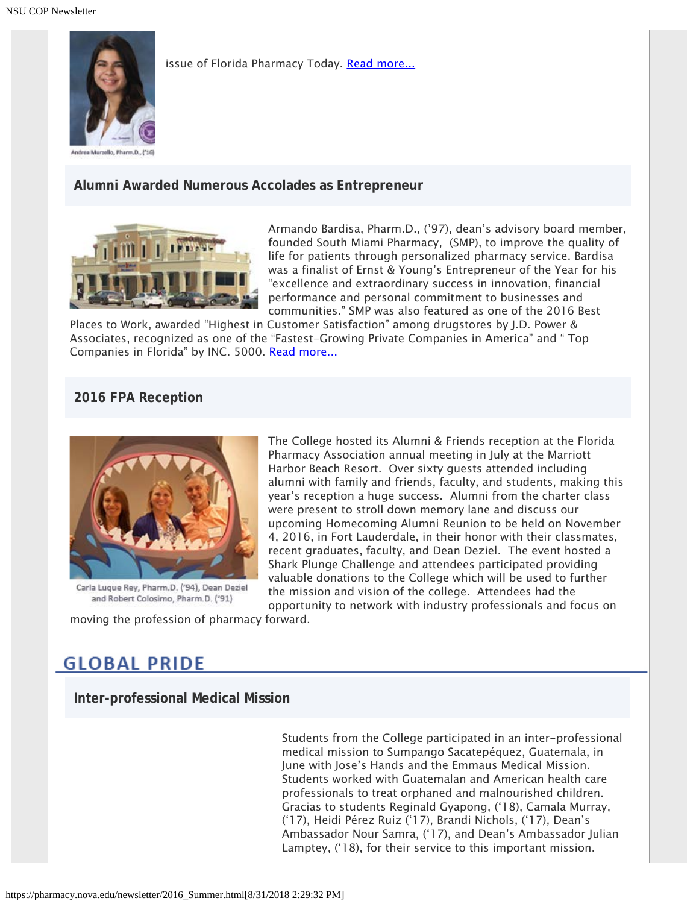

#### **Alumni Awarded Numerous Accolades as Entrepreneur**

issue of Florida Pharmacy Today. [Read more...](http://www.pharmview.com/?page=2016Journals)



Armando Bardisa, Pharm.D., ('97), dean's advisory board member, founded South Miami Pharmacy, (SMP), to improve the quality of life for patients through personalized pharmacy service. Bardisa was a finalist of Ernst & Young's Entrepreneur of the Year for his "excellence and extraordinary success in innovation, financial performance and personal commitment to businesses and communities." SMP was also featured as one of the 2016 Best

Places to Work, awarded "Highest in Customer Satisfaction" among drugstores by J.D. Power & Associates, recognized as one of the "Fastest-Growing Private Companies in America" and " Top Companies in Florida" by INC. 5000. [Read more...](http://www.bizjournals.com/southflorida/print-edition/2016/01/01/with-prescriptions-smp-pharmacy-solutions-delivers.html)

#### **2016 FPA Reception**



Carla Luque Rey, Pharm.D. ('94), Dean Deziel and Robert Colosimo, Pharm.D. ('91)

The College hosted its Alumni & Friends reception at the Florida Pharmacy Association annual meeting in July at the Marriott Harbor Beach Resort. Over sixty guests attended including alumni with family and friends, faculty, and students, making this year's reception a huge success. Alumni from the charter class were present to stroll down memory lane and discuss our upcoming Homecoming Alumni Reunion to be held on November 4, 2016, in Fort Lauderdale, in their honor with their classmates, recent graduates, faculty, and Dean Deziel. The event hosted a Shark Plunge Challenge and attendees participated providing valuable donations to the College which will be used to further the mission and vision of the college. Attendees had the opportunity to network with industry professionals and focus on

moving the profession of pharmacy forward.

### **GLOBAL PRIDE**

#### **Inter-professional Medical Mission**

Students from the College participated in an inter-professional medical mission to Sumpango Sacatepéquez, Guatemala, in June with Jose's Hands and the Emmaus Medical Mission. Students worked with Guatemalan and American health care professionals to treat orphaned and malnourished children. Gracias to students Reginald Gyapong, ('18), Camala Murray, ('17), Heidi Pérez Ruiz ('17), Brandi Nichols, ('17), Dean's Ambassador Nour Samra, ('17), and Dean's Ambassador Julian Lamptey, ('18), for their service to this important mission.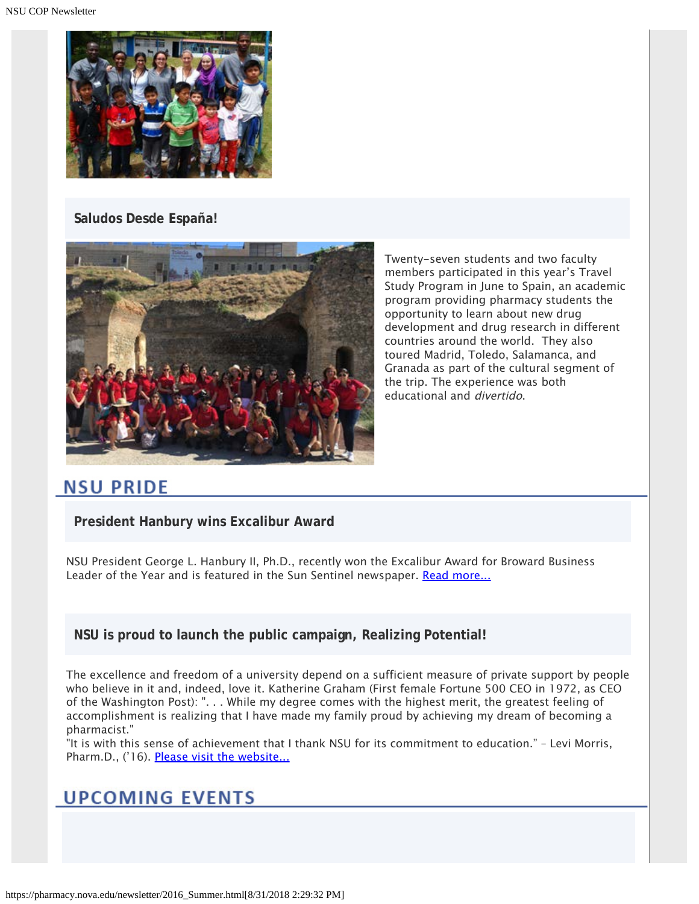

#### **Saludos Desde España!**



Twenty-seven students and two faculty members participated in this year's Travel Study Program in June to Spain, an academic program providing pharmacy students the opportunity to learn about new drug development and drug research in different countries around the world. They also toured Madrid, Toledo, Salamanca, and Granada as part of the cultural segment of the trip. The experience was both educational and divertido.

### **NSU PRIDE**

#### **President Hanbury wins Excalibur Award**

NSU President George L. Hanbury II, Ph.D., recently won the Excalibur Award for Broward Business Leader of the Year and is featured in the Sun Sentinel newspaper. [Read more...](https://nsunews.nova.edu/president-hanbury-wins-excalibur-award/)

#### **NSU is proud to launch the public campaign, Realizing Potential!**

The excellence and freedom of a university depend on a sufficient measure of private support by people who believe in it and, indeed, love it. Katherine Graham (First female Fortune 500 CEO in 1972, as CEO of the Washington Post): ". . . While my degree comes with the highest merit, the greatest feeling of accomplishment is realizing that I have made my family proud by achieving my dream of becoming a pharmacist."

"It is with this sense of achievement that I thank NSU for its commitment to education." – Levi Morris, Pharm.D., ('16). [Please visit the website...](https://www.nova.edu/publications/realizingpotential/pharmacy/#)

### **UPCOMING EVENTS**